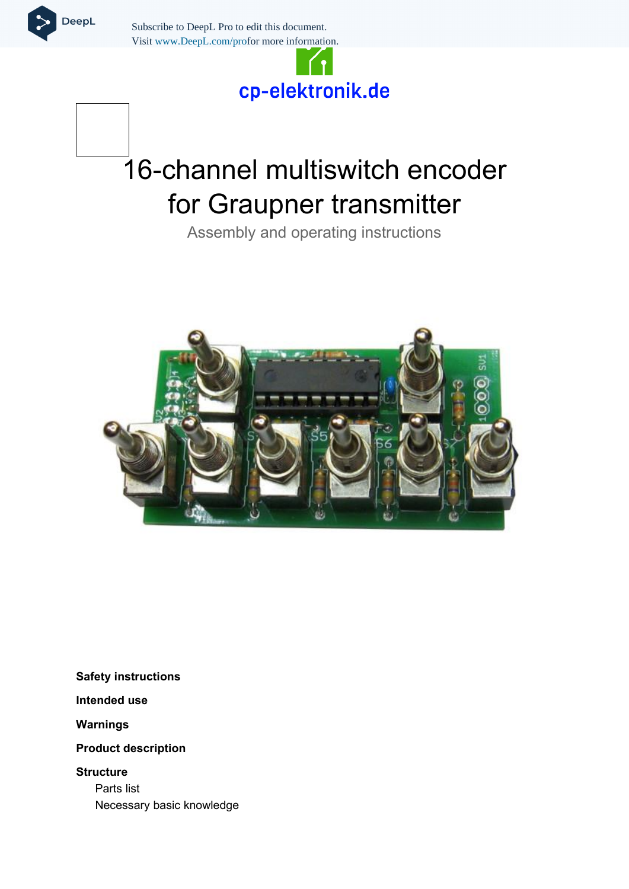

Subscribe to DeepL Pro to edit this document. Visit www.DeepL.com/profor more information.

## cp-elektronik.de

# 16-channel multiswitch encoder for Graupner transmitter

Assembly and operating instructions



**[Safety instructions](#page-1-0)**

**[Intended use](#page-2-2)**

**[Warnings](#page-2-1)**

**[Product description](#page-2-0)**

**[Structure](#page-3-1)** [Parts list](#page-3-0) [Necessary basic knowledge](#page-4-0)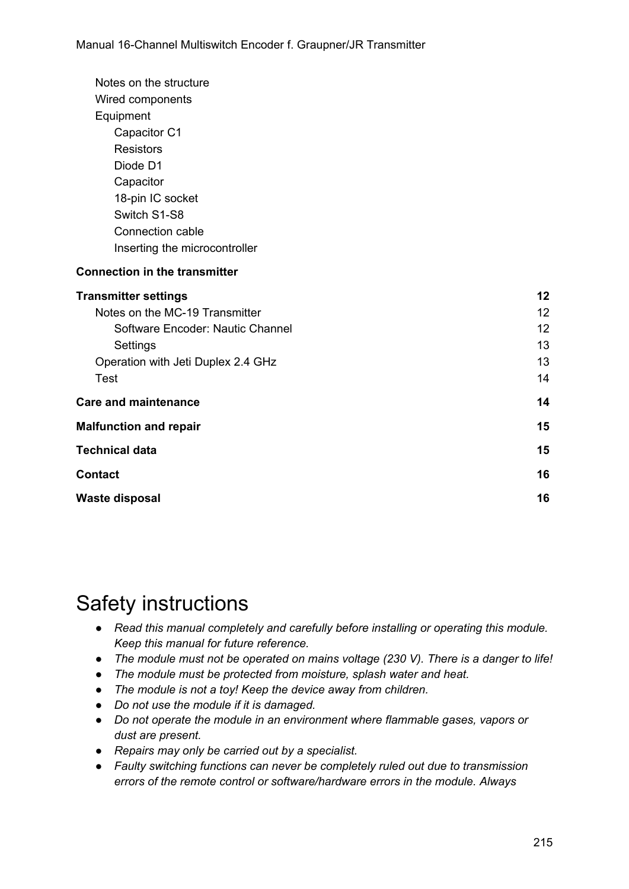| Notes on the structure               |    |
|--------------------------------------|----|
| Wired components                     |    |
| Equipment                            |    |
| Capacitor C1                         |    |
| <b>Resistors</b>                     |    |
| Diode D1                             |    |
| Capacitor                            |    |
| 18-pin IC socket                     |    |
| Switch S1-S8                         |    |
| Connection cable                     |    |
| Inserting the microcontroller        |    |
| <b>Connection in the transmitter</b> |    |
| <b>Transmitter settings</b>          | 12 |
| Notes on the MC-19 Transmitter       | 12 |
| Software Encoder: Nautic Channel     | 12 |
| Settings                             | 13 |
| Operation with Jeti Duplex 2.4 GHz   | 13 |
| <b>Test</b>                          | 14 |
| <b>Care and maintenance</b>          | 14 |
| <b>Malfunction and repair</b>        | 15 |
| <b>Technical data</b>                | 15 |
| <b>Contact</b>                       | 16 |
| <b>Waste disposal</b>                | 16 |

## <span id="page-1-0"></span>Safety instructions

- *● Read this manual completely and carefully before installing or operating this module. Keep this manual for future reference.*
- *● The module must not be operated on mains voltage (230 V). There is a danger to life!*
- *● The module must be protected from moisture, splash water and heat.*
- *● The module is not a toy! Keep the device away from children.*
- *● Do not use the module if it is damaged.*
- *● Do not operate the module in an environment where flammable gases, vapors or dust are present.*
- *● Repairs may only be carried out by a specialist.*
- *● Faulty switching functions can never be completely ruled out due to transmission errors of the remote control or software/hardware errors in the module. Always*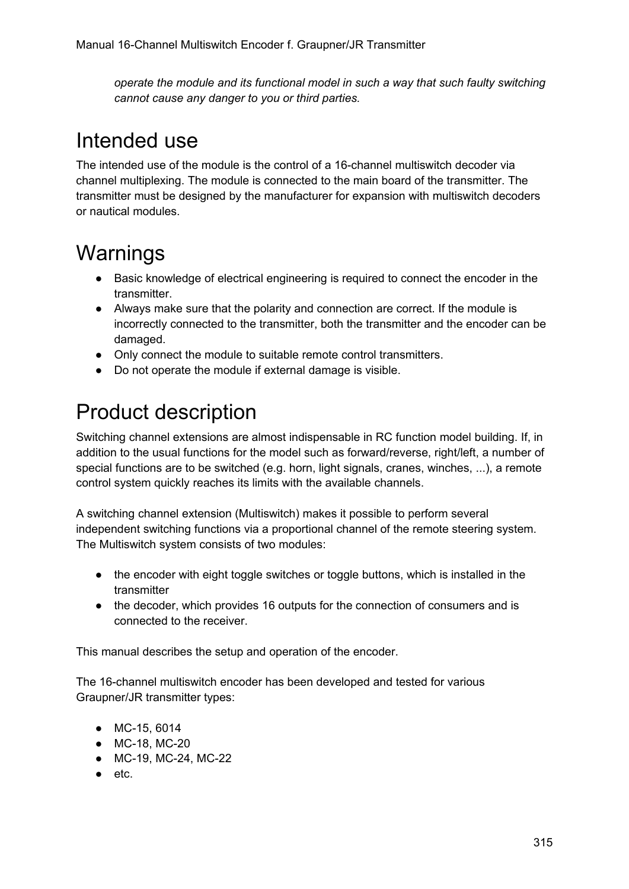*operate the module and its functional model in such a way that such faulty switching cannot cause any danger to you or third parties.*

### <span id="page-2-2"></span>Intended use

The intended use of the module is the control of a 16-channel multiswitch decoder via channel multiplexing. The module is connected to the main board of the transmitter. The transmitter must be designed by the manufacturer for expansion with multiswitch decoders or nautical modules.

## <span id="page-2-1"></span>**Warnings**

- Basic knowledge of electrical engineering is required to connect the encoder in the transmitter.
- Always make sure that the polarity and connection are correct. If the module is incorrectly connected to the transmitter, both the transmitter and the encoder can be damaged.
- Only connect the module to suitable remote control transmitters.
- Do not operate the module if external damage is visible.

## <span id="page-2-0"></span>Product description

Switching channel extensions are almost indispensable in RC function model building. If, in addition to the usual functions for the model such as forward/reverse, right/left, a number of special functions are to be switched (e.g. horn, light signals, cranes, winches, ...), a remote control system quickly reaches its limits with the available channels.

A switching channel extension (Multiswitch) makes it possible to perform several independent switching functions via a proportional channel of the remote steering system. The Multiswitch system consists of two modules:

- the encoder with eight toggle switches or toggle buttons, which is installed in the transmitter
- the decoder, which provides 16 outputs for the connection of consumers and is connected to the receiver.

This manual describes the setup and operation of the encoder.

The 16-channel multiswitch encoder has been developed and tested for various Graupner/JR transmitter types:

- MC-15, 6014
- MC-18, MC-20
- MC-19, MC-24, MC-22
- etc.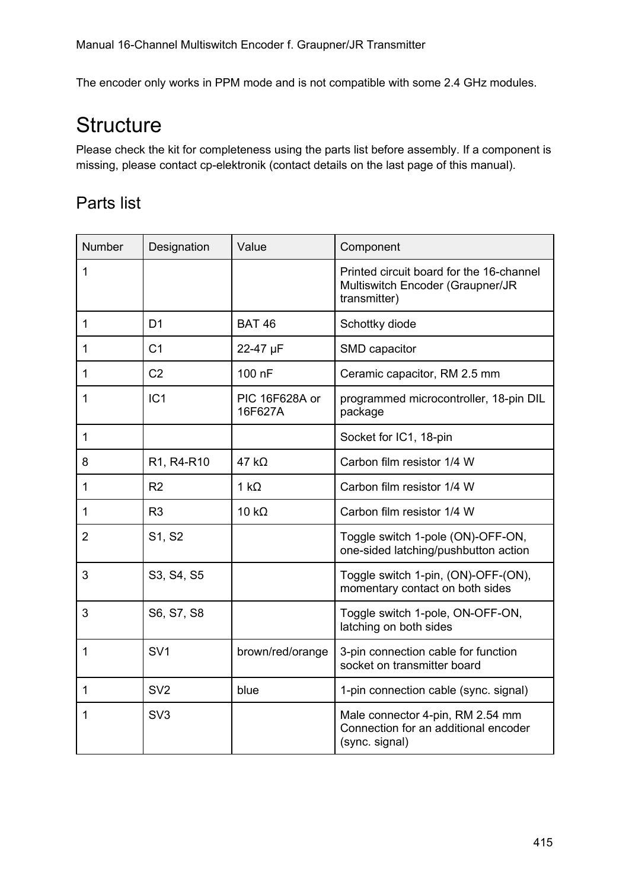The encoder only works in PPM mode and is not compatible with some 2.4 GHz modules.

## <span id="page-3-1"></span>**Structure**

Please check the kit for completeness using the parts list before assembly. If a component is missing, please contact cp-elektronik (contact details on the last page of this manual).

### <span id="page-3-0"></span>Parts list

| Number         | Designation     | Value                     | Component                                                                                    |
|----------------|-----------------|---------------------------|----------------------------------------------------------------------------------------------|
| 1              |                 |                           | Printed circuit board for the 16-channel<br>Multiswitch Encoder (Graupner/JR<br>transmitter) |
| 1              | D <sub>1</sub>  | <b>BAT 46</b>             | Schottky diode                                                                               |
| 1              | C <sub>1</sub>  | 22-47 µF                  | SMD capacitor                                                                                |
| $\mathbf{1}$   | C <sub>2</sub>  | 100 nF                    | Ceramic capacitor, RM 2.5 mm                                                                 |
| 1              | IC1             | PIC 16F628A or<br>16F627A | programmed microcontroller, 18-pin DIL<br>package                                            |
| $\mathbf{1}$   |                 |                           | Socket for IC1, 18-pin                                                                       |
| 8              | R1, R4-R10      | $47 k\Omega$              | Carbon film resistor 1/4 W                                                                   |
| 1              | R <sub>2</sub>  | $1 k\Omega$               | Carbon film resistor 1/4 W                                                                   |
| $\mathbf{1}$   | R <sub>3</sub>  | $10 k\Omega$              | Carbon film resistor 1/4 W                                                                   |
| $\overline{2}$ | S1, S2          |                           | Toggle switch 1-pole (ON)-OFF-ON,<br>one-sided latching/pushbutton action                    |
| 3              | S3, S4, S5      |                           | Toggle switch 1-pin, (ON)-OFF-(ON),<br>momentary contact on both sides                       |
| 3              | S6, S7, S8      |                           | Toggle switch 1-pole, ON-OFF-ON,<br>latching on both sides                                   |
| 1              | SV <sub>1</sub> | brown/red/orange          | 3-pin connection cable for function<br>socket on transmitter board                           |
| $\mathbf{1}$   | SV <sub>2</sub> | blue                      | 1-pin connection cable (sync. signal)                                                        |
| 1              | SV <sub>3</sub> |                           | Male connector 4-pin, RM 2.54 mm<br>Connection for an additional encoder<br>(sync. signal)   |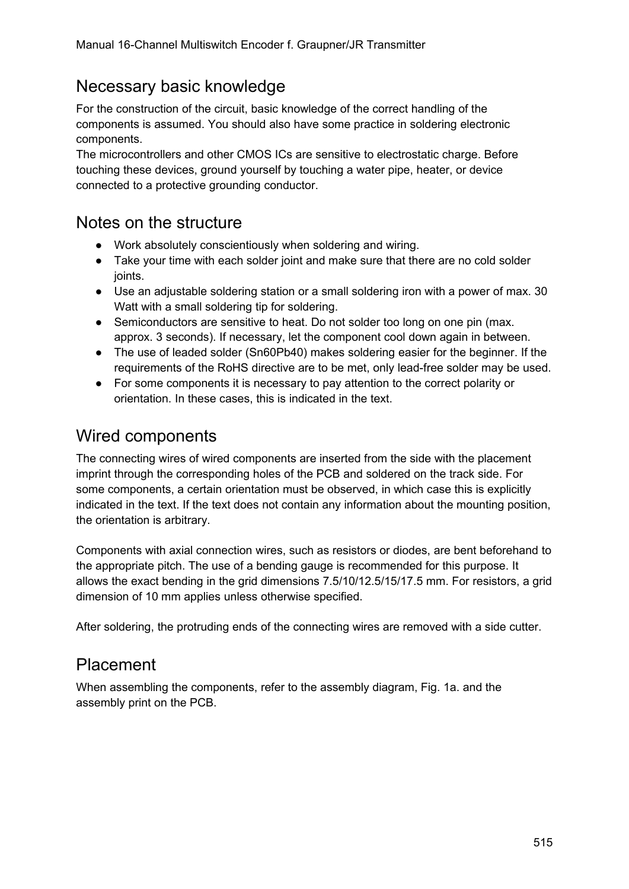### <span id="page-4-0"></span>Necessary basic knowledge

For the construction of the circuit, basic knowledge of the correct handling of the components is assumed. You should also have some practice in soldering electronic components.

The microcontrollers and other CMOS ICs are sensitive to electrostatic charge. Before touching these devices, ground yourself by touching a water pipe, heater, or device connected to a protective grounding conductor.

### <span id="page-4-3"></span>Notes on the structure

- Work absolutely conscientiously when soldering and wiring.
- Take your time with each solder joint and make sure that there are no cold solder joints.
- Use an adjustable soldering station or a small soldering iron with a power of max. 30 Watt with a small soldering tip for soldering.
- Semiconductors are sensitive to heat. Do not solder too long on one pin (max. approx. 3 seconds). If necessary, let the component cool down again in between.
- The use of leaded solder (Sn60Pb40) makes soldering easier for the beginner. If the requirements of the RoHS directive are to be met, only lead-free solder may be used.
- For some components it is necessary to pay attention to the correct polarity or orientation. In these cases, this is indicated in the text.

### <span id="page-4-2"></span>Wired components

The connecting wires of wired components are inserted from the side with the placement imprint through the corresponding holes of the PCB and soldered on the track side. For some components, a certain orientation must be observed, in which case this is explicitly indicated in the text. If the text does not contain any information about the mounting position, the orientation is arbitrary.

Components with axial connection wires, such as resistors or diodes, are bent beforehand to the appropriate pitch. The use of a bending gauge is recommended for this purpose. It allows the exact bending in the grid dimensions 7.5/10/12.5/15/17.5 mm. For resistors, a grid dimension of 10 mm applies unless otherwise specified.

After soldering, the protruding ends of the connecting wires are removed with a side cutter.

### <span id="page-4-1"></span>Placement

When assembling the components, refer to the assembly diagram, Fig. 1a. and the assembly print on the PCB.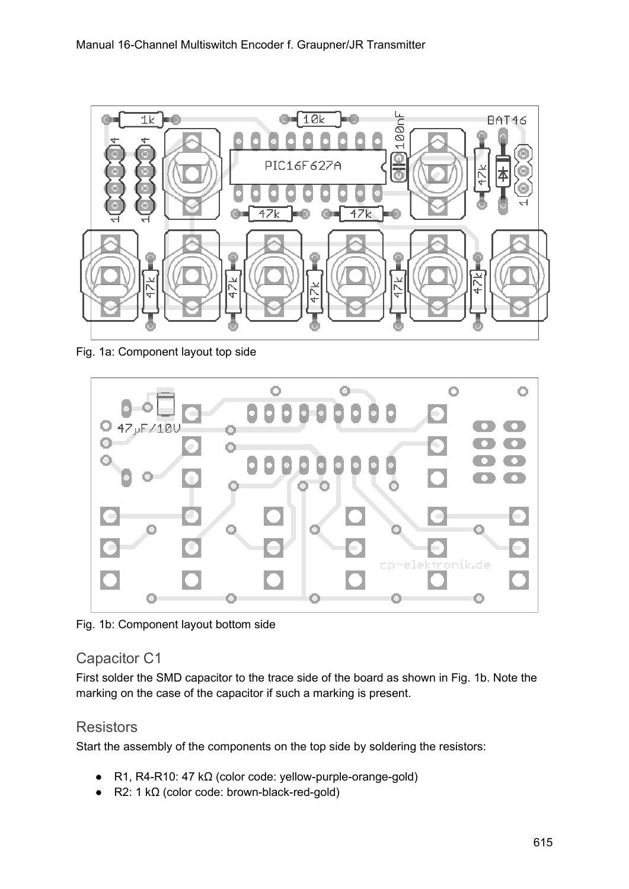

Fig. 1a: Component layout top side



Fig. 1b: Component layout bottom side

#### <span id="page-5-1"></span>Capacitor C1

First solder the SMD capacitor to the trace side of the board as shown in Fig. 1b. Note the marking on the case of the capacitor if such a marking is present.

#### <span id="page-5-0"></span>**Resistors**

Start the assembly of the components on the top side by soldering the resistors:

- R1, R4-R10: 47 kΩ (color code: yellow-purple-orange-gold)
- R2: 1 kΩ (color code: brown-black-red-gold)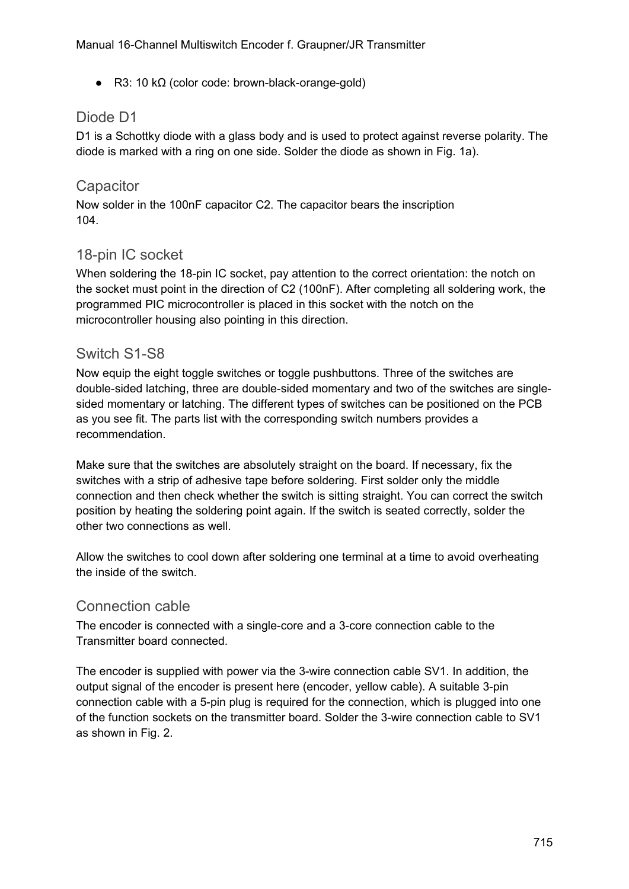$\bullet$  R3: 10 kΩ (color code: brown-black-orange-gold)

#### <span id="page-6-4"></span>Diode D1

D1 is a Schottky diode with a glass body and is used to protect against reverse polarity. The diode is marked with a ring on one side. Solder the diode as shown in Fig. 1a).

#### <span id="page-6-3"></span>**Capacitor**

Now solder in the 100nF capacitor C2. The capacitor bears the inscription 104.

#### <span id="page-6-2"></span>18-pin IC socket

When soldering the 18-pin IC socket, pay attention to the correct orientation: the notch on the socket must point in the direction of C2 (100nF). After completing all soldering work, the programmed PIC microcontroller is placed in this socket with the notch on the microcontroller housing also pointing in this direction.

#### <span id="page-6-1"></span>Switch S1-S8

Now equip the eight toggle switches or toggle pushbuttons. Three of the switches are double-sided latching, three are double-sided momentary and two of the switches are singlesided momentary or latching. The different types of switches can be positioned on the PCB as you see fit. The parts list with the corresponding switch numbers provides a recommendation.

Make sure that the switches are absolutely straight on the board. If necessary, fix the switches with a strip of adhesive tape before soldering. First solder only the middle connection and then check whether the switch is sitting straight. You can correct the switch position by heating the soldering point again. If the switch is seated correctly, solder the other two connections as well.

Allow the switches to cool down after soldering one terminal at a time to avoid overheating the inside of the switch.

#### <span id="page-6-0"></span>Connection cable

The encoder is connected with a single-core and a 3-core connection cable to the Transmitter board connected.

The encoder is supplied with power via the 3-wire connection cable SV1. In addition, the output signal of the encoder is present here (encoder, yellow cable). A suitable 3-pin connection cable with a 5-pin plug is required for the connection, which is plugged into one of the function sockets on the transmitter board. Solder the 3-wire connection cable to SV1 as shown in Fig. 2.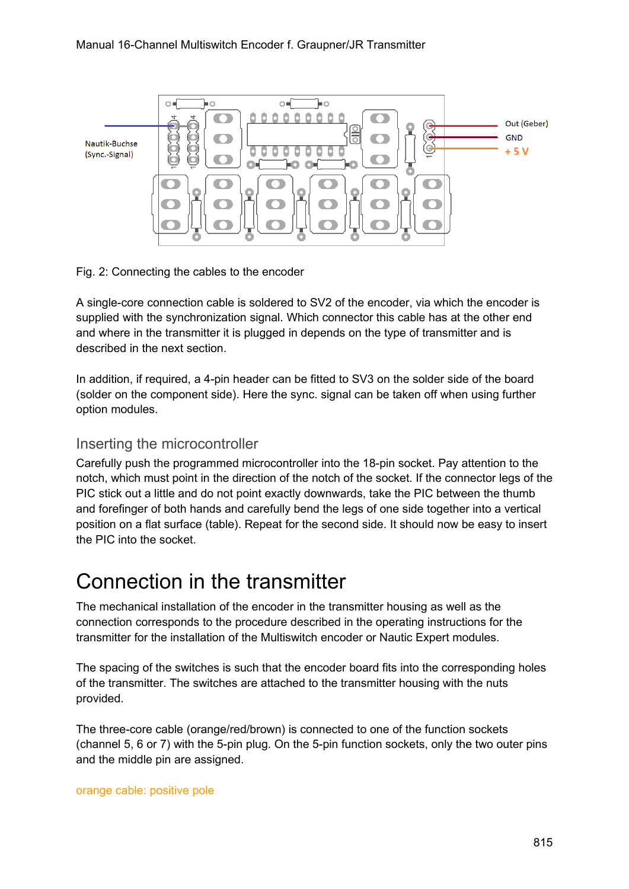

Fig. 2: Connecting the cables to the encoder

A single-core connection cable is soldered to SV2 of the encoder, via which the encoder is supplied with the synchronization signal. Which connector this cable has at the other end and where in the transmitter it is plugged in depends on the type of transmitter and is described in the next section.

In addition, if required, a 4-pin header can be fitted to SV3 on the solder side of the board (solder on the component side). Here the sync. signal can be taken off when using further option modules.

#### <span id="page-7-1"></span>Inserting the microcontroller

Carefully push the programmed microcontroller into the 18-pin socket. Pay attention to the notch, which must point in the direction of the notch of the socket. If the connector legs of the PIC stick out a little and do not point exactly downwards, take the PIC between the thumb and forefinger of both hands and carefully bend the legs of one side together into a vertical position on a flat surface (table). Repeat for the second side. It should now be easy to insert the PIC into the socket.

### <span id="page-7-0"></span>Connection in the transmitter

The mechanical installation of the encoder in the transmitter housing as well as the connection corresponds to the procedure described in the operating instructions for the transmitter for the installation of the Multiswitch encoder or Nautic Expert modules.

The spacing of the switches is such that the encoder board fits into the corresponding holes of the transmitter. The switches are attached to the transmitter housing with the nuts provided.

The three-core cable (orange/red/brown) is connected to one of the function sockets (channel 5, 6 or 7) with the 5-pin plug. On the 5-pin function sockets, only the two outer pins and the middle pin are assigned.

orange cable: positive pole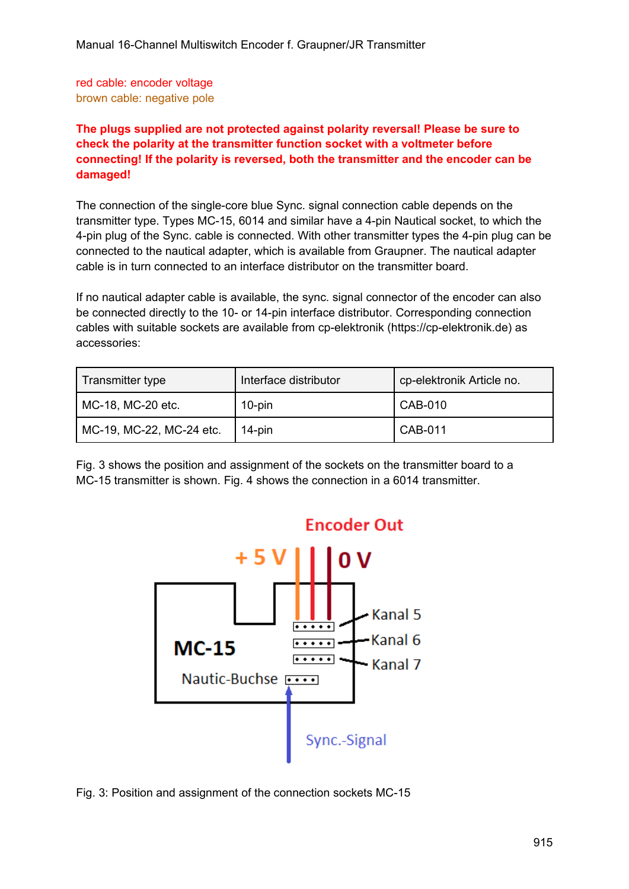red cable: encoder voltage brown cable: negative pole

#### **The plugs supplied are not protected against polarity reversal! Please be sure to check the polarity at the transmitter function socket with a voltmeter before connecting! If the polarity is reversed, both the transmitter and the encoder can be damaged!**

The connection of the single-core blue Sync. signal connection cable depends on the transmitter type. Types MC-15, 6014 and similar have a 4-pin Nautical socket, to which the 4-pin plug of the Sync. cable is connected. With other transmitter types the 4-pin plug can be connected to the nautical adapter, which is available from Graupner. The nautical adapter cable is in turn connected to an interface distributor on the transmitter board.

If no nautical adapter cable is available, the sync. signal connector of the encoder can also be connected directly to the 10- or 14-pin interface distributor. Corresponding connection cables with suitable sockets are available from cp-elektronik (https://cp-elektronik.de) as accessories:

| Transmitter type         | Interface distributor | cp-elektronik Article no.   |
|--------------------------|-----------------------|-----------------------------|
| MC-18, MC-20 etc.        | 10-pin                | CAB-010                     |
| MC-19, MC-22, MC-24 etc. | 14-pin                | $\overline{\text{CAB-011}}$ |

Fig. 3 shows the position and assignment of the sockets on the transmitter board to a MC-15 transmitter is shown. Fig. 4 shows the connection in a 6014 transmitter.



Fig. 3: Position and assignment of the connection sockets MC-15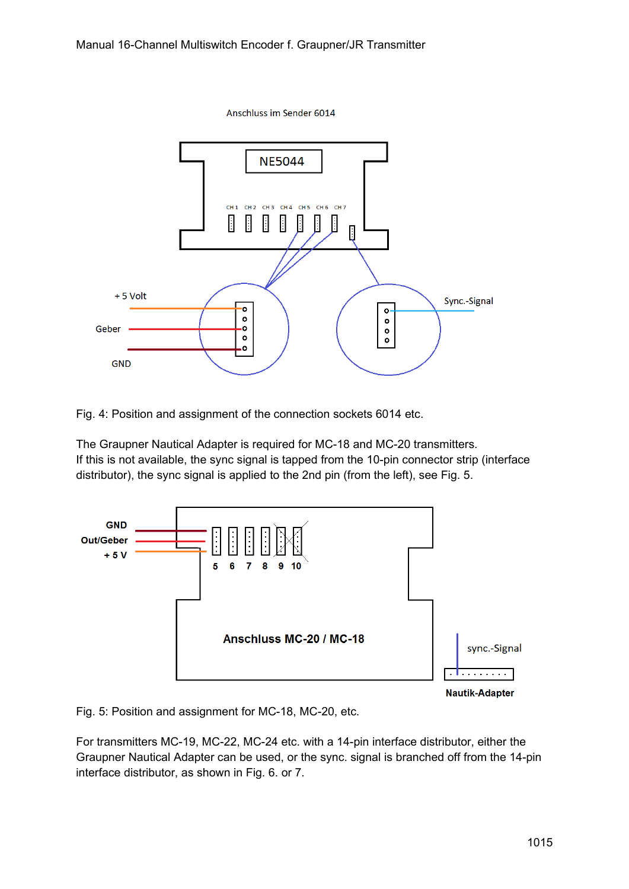

Fig. 4: Position and assignment of the connection sockets 6014 etc.

The Graupner Nautical Adapter is required for MC-18 and MC-20 transmitters. If this is not available, the sync signal is tapped from the 10-pin connector strip (interface distributor), the sync signal is applied to the 2nd pin (from the left), see Fig. 5.



Fig. 5: Position and assignment for MC-18, MC-20, etc.

For transmitters MC-19, MC-22, MC-24 etc. with a 14-pin interface distributor, either the Graupner Nautical Adapter can be used, or the sync. signal is branched off from the 14-pin interface distributor, as shown in Fig. 6. or 7.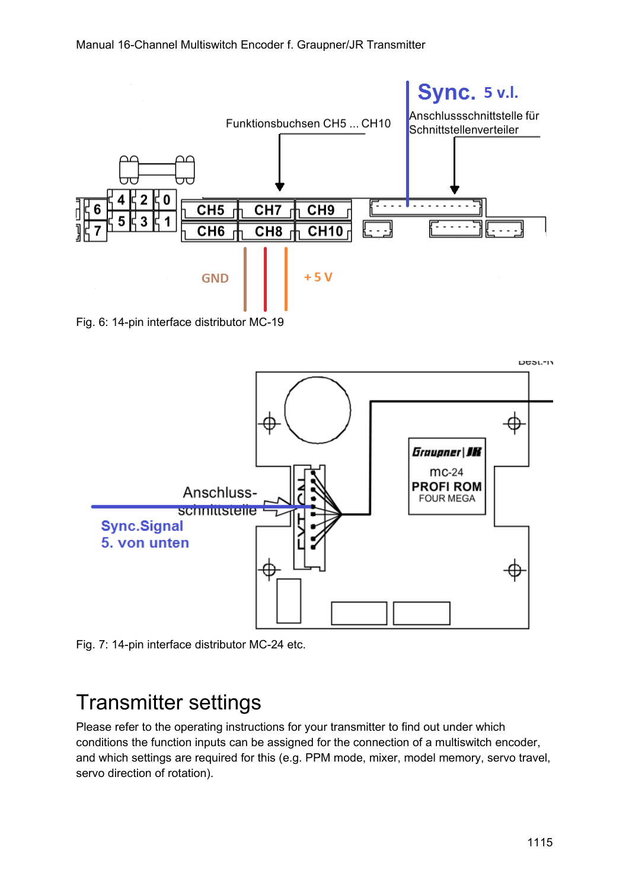

Fig. 6: 14-pin interface distributor MC-19



Fig. 7: 14-pin interface distributor MC-24 etc.

### <span id="page-10-0"></span>Transmitter settings

Please refer to the operating instructions for your transmitter to find out under which conditions the function inputs can be assigned for the connection of a multiswitch encoder, and which settings are required for this (e.g. PPM mode, mixer, model memory, servo travel, servo direction of rotation).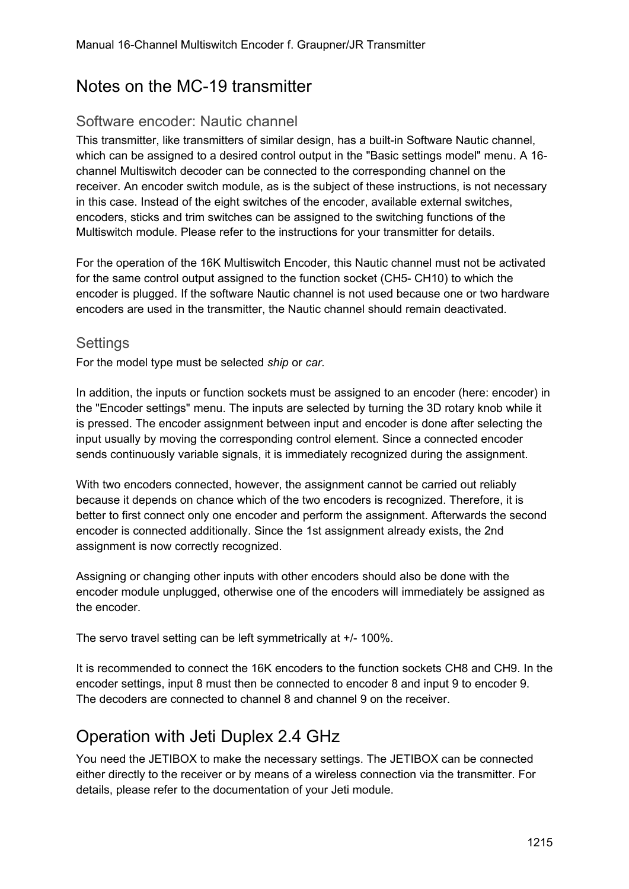### <span id="page-11-3"></span>Notes on the MC-19 transmitter

#### <span id="page-11-2"></span>Software encoder: Nautic channel

This transmitter, like transmitters of similar design, has a built-in Software Nautic channel, which can be assigned to a desired control output in the "Basic settings model" menu. A 16 channel Multiswitch decoder can be connected to the corresponding channel on the receiver. An encoder switch module, as is the subject of these instructions, is not necessary in this case. Instead of the eight switches of the encoder, available external switches, encoders, sticks and trim switches can be assigned to the switching functions of the Multiswitch module. Please refer to the instructions for your transmitter for details.

For the operation of the 16K Multiswitch Encoder, this Nautic channel must not be activated for the same control output assigned to the function socket (CH5- CH10) to which the encoder is plugged. If the software Nautic channel is not used because one or two hardware encoders are used in the transmitter, the Nautic channel should remain deactivated.

#### <span id="page-11-1"></span>**Settings**

For the model type must be selected *ship* or *car.*

In addition, the inputs or function sockets must be assigned to an encoder (here: encoder) in the "Encoder settings" menu. The inputs are selected by turning the 3D rotary knob while it is pressed. The encoder assignment between input and encoder is done after selecting the input usually by moving the corresponding control element. Since a connected encoder sends continuously variable signals, it is immediately recognized during the assignment.

With two encoders connected, however, the assignment cannot be carried out reliably because it depends on chance which of the two encoders is recognized. Therefore, it is better to first connect only one encoder and perform the assignment. Afterwards the second encoder is connected additionally. Since the 1st assignment already exists, the 2nd assignment is now correctly recognized.

Assigning or changing other inputs with other encoders should also be done with the encoder module unplugged, otherwise one of the encoders will immediately be assigned as the encoder.

The servo travel setting can be left symmetrically at +/- 100%.

It is recommended to connect the 16K encoders to the function sockets CH8 and CH9. In the encoder settings, input 8 must then be connected to encoder 8 and input 9 to encoder 9. The decoders are connected to channel 8 and channel 9 on the receiver.

### <span id="page-11-0"></span>Operation with Jeti Duplex 2.4 GHz

You need the JETIBOX to make the necessary settings. The JETIBOX can be connected either directly to the receiver or by means of a wireless connection via the transmitter. For details, please refer to the documentation of your Jeti module.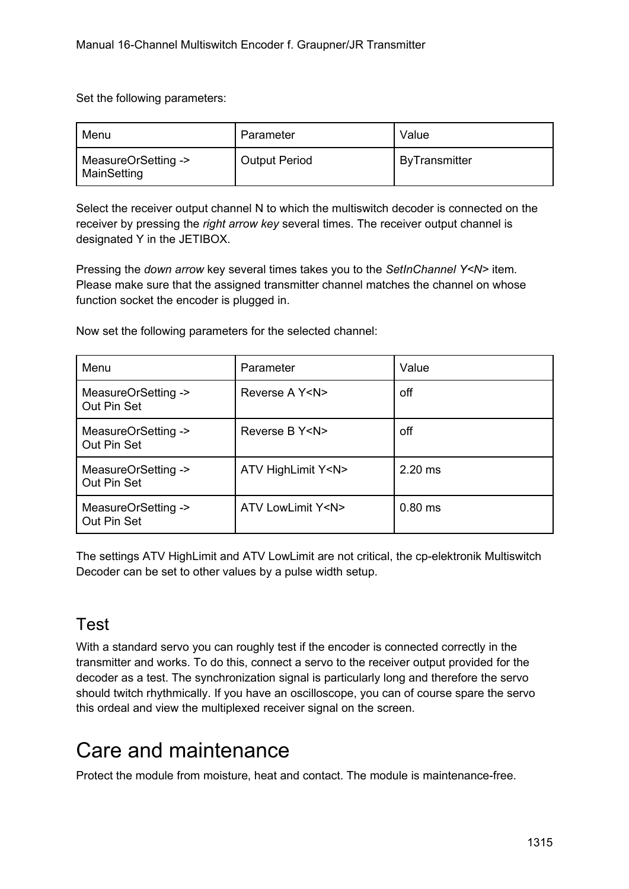Set the following parameters:

| Menu                               | Parameter            | Value                |
|------------------------------------|----------------------|----------------------|
| MeasureOrSetting -><br>MainSetting | <b>Output Period</b> | <b>ByTransmitter</b> |

Select the receiver output channel N to which the multiswitch decoder is connected on the receiver by pressing the *right arrow key* several times. The receiver output channel is designated Y in the JETIBOX.

Pressing the *down arrow* key several times takes you to the *SetInChannel Y<N>* item. Please make sure that the assigned transmitter channel matches the channel on whose function socket the encoder is plugged in.

Now set the following parameters for the selected channel:

| Menu                               | Parameter               | Value     |
|------------------------------------|-------------------------|-----------|
| MeasureOrSetting -><br>Out Pin Set | Reverse A Y <n></n>     | off       |
| MeasureOrSetting -><br>Out Pin Set | Reverse B Y <n></n>     | off       |
| MeasureOrSetting -><br>Out Pin Set | ATV HighLimit Y <n></n> | $2.20$ ms |
| MeasureOrSetting -><br>Out Pin Set | ATV LowLimit Y <n></n>  | $0.80$ ms |

The settings ATV HighLimit and ATV LowLimit are not critical, the cp-elektronik Multiswitch Decoder can be set to other values by a pulse width setup.

### <span id="page-12-1"></span>Test

With a standard servo you can roughly test if the encoder is connected correctly in the transmitter and works. To do this, connect a servo to the receiver output provided for the decoder as a test. The synchronization signal is particularly long and therefore the servo should twitch rhythmically. If you have an oscilloscope, you can of course spare the servo this ordeal and view the multiplexed receiver signal on the screen.

### <span id="page-12-0"></span>Care and maintenance

Protect the module from moisture, heat and contact. The module is maintenance-free.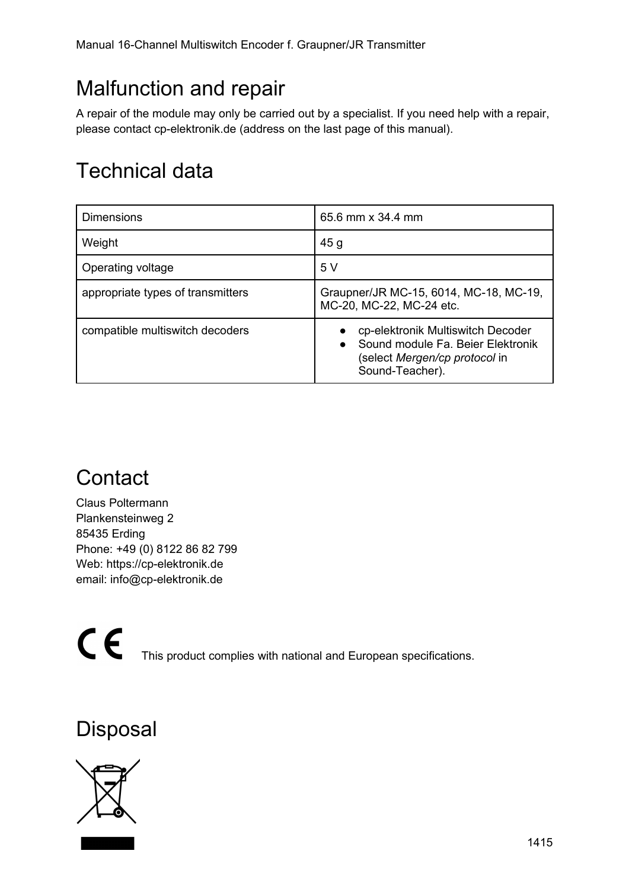## <span id="page-13-3"></span>Malfunction and repair

A repair of the module may only be carried out by a specialist. If you need help with a repair, please contact cp-elektronik.de (address on the last page of this manual).

## <span id="page-13-2"></span>Technical data

| <b>Dimensions</b>                 | 65.6 mm x 34.4 mm                                                                                                                       |
|-----------------------------------|-----------------------------------------------------------------------------------------------------------------------------------------|
| Weight                            | 45g                                                                                                                                     |
| Operating voltage                 | 5 V                                                                                                                                     |
| appropriate types of transmitters | Graupner/JR MC-15, 6014, MC-18, MC-19,<br>MC-20, MC-22, MC-24 etc.                                                                      |
| compatible multiswitch decoders   | cp-elektronik Multiswitch Decoder<br>Sound module Fa. Beier Elektronik<br>$\bullet$<br>(select Mergen/cp protocol in<br>Sound-Teacher). |

## <span id="page-13-1"></span>**Contact**

Claus Poltermann Plankensteinweg 2 85435 Erding Phone: +49 (0) 8122 86 82 799 Web: https://cp-elektronik.de email: info@cp-elektronik.de

CE This product complies with national and European specifications.

### <span id="page-13-0"></span>Disposal